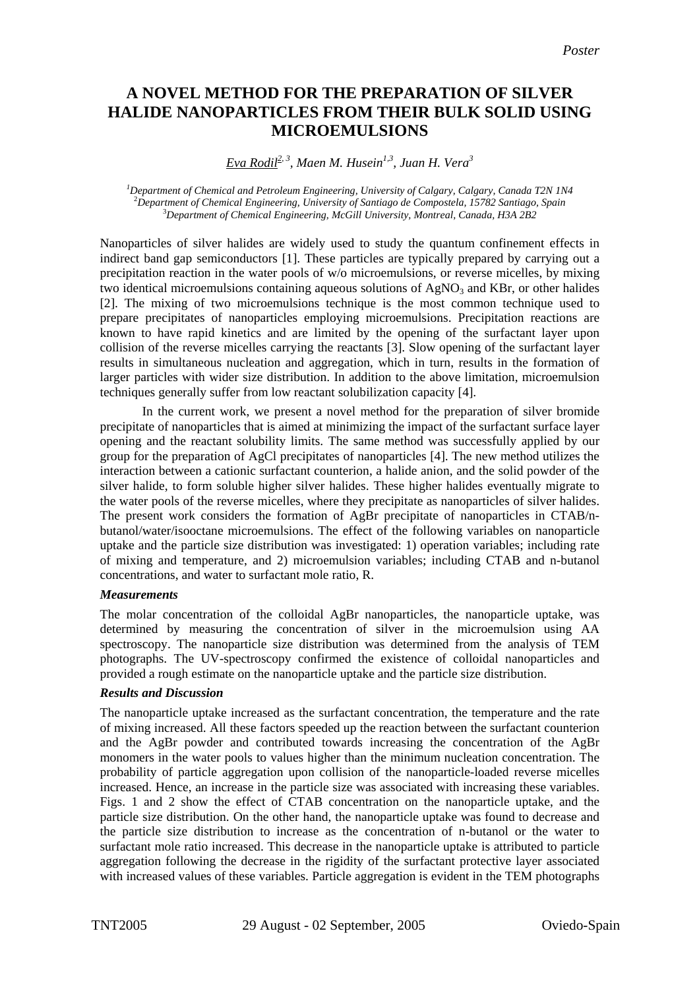# **A NOVEL METHOD FOR THE PREPARATION OF SILVER HALIDE NANOPARTICLES FROM THEIR BULK SOLID USING MICROEMULSIONS**

*Eva Rodil2, 3, Maen M. Husein1,3 , Juan H. Vera<sup>3</sup>*

*1 Department of Chemical and Petroleum Engineering, University of Calgary, Calgary, Canada T2N 1N4* <sup>2</sup> *Department of Chemical Engineering, University of Santiago de Compostela, 15782 Santiago, Spain* <sup>3</sup> *Department of Chemical Engineering, McGill University, Montreal, Canada, H3A 2B2*

Nanoparticles of silver halides are widely used to study the quantum confinement effects in indirect band gap semiconductors [1]. These particles are typically prepared by carrying out a precipitation reaction in the water pools of w/o microemulsions, or reverse micelles, by mixing two identical microemulsions containing aqueous solutions of  $AgNO<sub>3</sub>$  and KBr, or other halides [2]. The mixing of two microemulsions technique is the most common technique used to prepare precipitates of nanoparticles employing microemulsions. Precipitation reactions are known to have rapid kinetics and are limited by the opening of the surfactant layer upon collision of the reverse micelles carrying the reactants [3]. Slow opening of the surfactant layer results in simultaneous nucleation and aggregation, which in turn, results in the formation of larger particles with wider size distribution. In addition to the above limitation, microemulsion techniques generally suffer from low reactant solubilization capacity [4].

In the current work, we present a novel method for the preparation of silver bromide precipitate of nanoparticles that is aimed at minimizing the impact of the surfactant surface layer opening and the reactant solubility limits. The same method was successfully applied by our group for the preparation of AgCl precipitates of nanoparticles [4]. The new method utilizes the interaction between a cationic surfactant counterion, a halide anion, and the solid powder of the silver halide, to form soluble higher silver halides. These higher halides eventually migrate to the water pools of the reverse micelles, where they precipitate as nanoparticles of silver halides. The present work considers the formation of AgBr precipitate of nanoparticles in CTAB/nbutanol/water/isooctane microemulsions. The effect of the following variables on nanoparticle uptake and the particle size distribution was investigated: 1) operation variables; including rate of mixing and temperature, and 2) microemulsion variables; including CTAB and n-butanol concentrations, and water to surfactant mole ratio, R.

## *Measurements*

The molar concentration of the colloidal AgBr nanoparticles, the nanoparticle uptake, was determined by measuring the concentration of silver in the microemulsion using AA spectroscopy. The nanoparticle size distribution was determined from the analysis of TEM photographs. The UV-spectroscopy confirmed the existence of colloidal nanoparticles and provided a rough estimate on the nanoparticle uptake and the particle size distribution.

## *Results and Discussion*

The nanoparticle uptake increased as the surfactant concentration, the temperature and the rate of mixing increased. All these factors speeded up the reaction between the surfactant counterion and the AgBr powder and contributed towards increasing the concentration of the AgBr monomers in the water pools to values higher than the minimum nucleation concentration. The probability of particle aggregation upon collision of the nanoparticle-loaded reverse micelles increased. Hence, an increase in the particle size was associated with increasing these variables. Figs. 1 and 2 show the effect of CTAB concentration on the nanoparticle uptake, and the particle size distribution. On the other hand, the nanoparticle uptake was found to decrease and the particle size distribution to increase as the concentration of n-butanol or the water to surfactant mole ratio increased. This decrease in the nanoparticle uptake is attributed to particle aggregation following the decrease in the rigidity of the surfactant protective layer associated with increased values of these variables. Particle aggregation is evident in the TEM photographs